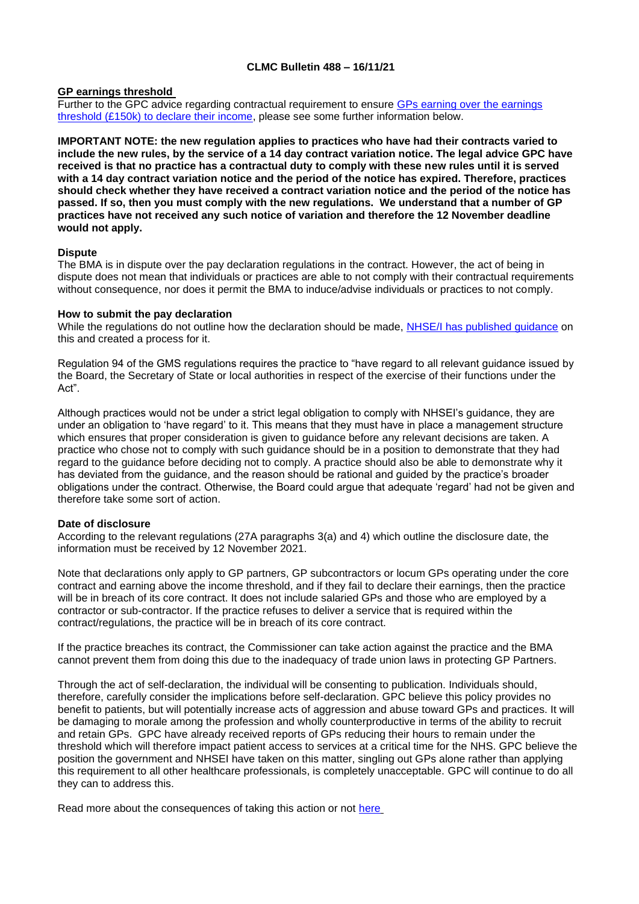## **CLMC Bulletin 488 – 16/11/21**

## **GP earnings threshold**

Further to the GPC advice regarding contractual requirement to ensure GPs earning over the earnings [threshold \(£150k\) to declare their income,](https://www.bma.org.uk/pay-and-contracts/pay/other-doctors-pay/declaring-gp-earnings-over-150-000) please see some further information below.

**IMPORTANT NOTE: the new regulation applies to practices who have had their contracts varied to include the new rules, by the service of a 14 day contract variation notice. The legal advice GPC have received is that no practice has a contractual duty to comply with these new rules until it is served with a 14 day contract variation notice and the period of the notice has expired. Therefore, practices should check whether they have received a contract variation notice and the period of the notice has passed. If so, then you must comply with the new regulations. We understand that a number of GP practices have not received any such notice of variation and therefore the 12 November deadline would not apply.**

## **Dispute**

The BMA is in dispute over the pay declaration regulations in the contract. However, the act of being in dispute does not mean that individuals or practices are able to not comply with their contractual requirements without consequence, nor does it permit the BMA to induce/advise individuals or practices to not comply.

## **How to submit the pay declaration**

While the regulations do not outline how the declaration should be made, [NHSE/I has published guidance](https://www.england.nhs.uk/publication/general-practice-pay-transparency-guidance/) on this and created a process for it.

Regulation 94 of the GMS regulations requires the practice to "have regard to all relevant guidance issued by the Board, the Secretary of State or local authorities in respect of the exercise of their functions under the Act".

Although practices would not be under a strict legal obligation to comply with NHSEI's guidance, they are under an obligation to 'have regard' to it. This means that they must have in place a management structure which ensures that proper consideration is given to guidance before any relevant decisions are taken. A practice who chose not to comply with such guidance should be in a position to demonstrate that they had regard to the guidance before deciding not to comply. A practice should also be able to demonstrate why it has deviated from the guidance, and the reason should be rational and guided by the practice's broader obligations under the contract. Otherwise, the Board could argue that adequate 'regard' had not be given and therefore take some sort of action.

#### **Date of disclosure**

According to the relevant regulations (27A paragraphs 3(a) and 4) which outline the disclosure date, the information must be received by 12 November 2021.

Note that declarations only apply to GP partners, GP subcontractors or locum GPs operating under the core contract and earning above the income threshold, and if they fail to declare their earnings, then the practice will be in breach of its core contract. It does not include salaried GPs and those who are employed by a contractor or sub-contractor. If the practice refuses to deliver a service that is required within the contract/regulations, the practice will be in breach of its core contract.

If the practice breaches its contract, the Commissioner can take action against the practice and the BMA cannot prevent them from doing this due to the inadequacy of trade union laws in protecting GP Partners.

Through the act of self-declaration, the individual will be consenting to publication. Individuals should, therefore, carefully consider the implications before self-declaration. GPC believe this policy provides no benefit to patients, but will potentially increase acts of aggression and abuse toward GPs and practices. It will be damaging to morale among the profession and wholly counterproductive in terms of the ability to recruit and retain GPs. GPC have already received reports of GPs reducing their hours to remain under the threshold which will therefore impact patient access to services at a critical time for the NHS. GPC believe the position the government and NHSEI have taken on this matter, singling out GPs alone rather than applying this requirement to all other healthcare professionals, is completely unacceptable. GPC will continue to do all they can to address this.

Read more about the consequences of taking this action or not [here](https://www.bma.org.uk/media/4731/bma_gp_indicative_ballot_supporting_info_oct2021_v2.pdf)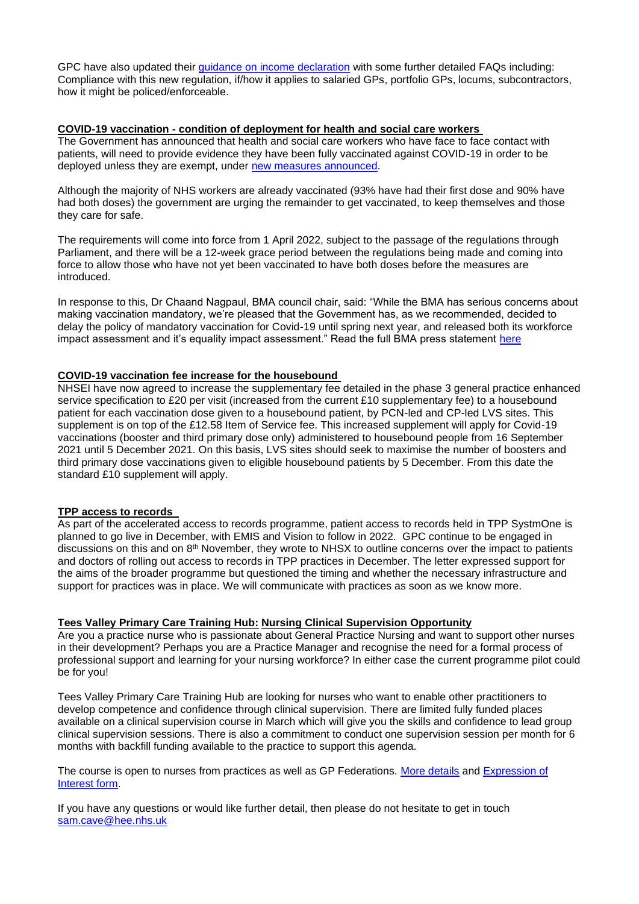GPC have also updated their [guidance on income declaration](https://www.bma.org.uk/pay-and-contracts/pay/other-doctors-pay/declaring-gp-earnings-over-150-000) with some further detailed FAQs including: Compliance with this new regulation, if/how it applies to salaried GPs, portfolio GPs, locums, subcontractors, how it might be policed/enforceable.

#### **COVID-19 vaccination - condition of deployment for health and social care workers**

The Government has announced that health and social care workers who have face to face contact with patients, will need to provide evidence they have been fully vaccinated against COVID-19 in order to be deployed unless they are exempt, under [new measures announced.](https://www.gov.uk/government/news/government-to-introduce-covid-19-vaccination-as-a-condition-of-deployment-for-all-frontline-health-and-social-care-workers)

Although the majority of NHS workers are already vaccinated (93% have had their first dose and 90% have had both doses) the government are urging the remainder to get vaccinated, to keep themselves and those they care for safe.

The requirements will come into force from 1 April 2022, subject to the passage of the regulations through Parliament, and there will be a 12-week grace period between the regulations being made and coming into force to allow those who have not yet been vaccinated to have both doses before the measures are introduced.

In response to this, Dr Chaand Nagpaul, BMA council chair, said: "While the BMA has serious concerns about making vaccination mandatory, we're pleased that the Government has, as we recommended, decided to delay the policy of mandatory vaccination for Covid-19 until spring next year, and released both its workforce impact assessment and it's equality impact assessment." Read the full BMA press statement [here](https://www.bma.org.uk/bma-media-centre/delay-in-making-covid-vaccine-mandatory-is-sensible-ahead-of-winter-pressures-says-bma)

## **COVID-19 vaccination fee increase for the housebound**

NHSEI have now agreed to increase the supplementary fee detailed in the phase 3 general practice enhanced service specification to £20 per visit (increased from the current £10 supplementary fee) to a housebound patient for each vaccination dose given to a housebound patient, by PCN-led and CP-led LVS sites. This supplement is on top of the £12.58 Item of Service fee. This increased supplement will apply for Covid-19 vaccinations (booster and third primary dose only) administered to housebound people from 16 September 2021 until 5 December 2021. On this basis, LVS sites should seek to maximise the number of boosters and third primary dose vaccinations given to eligible housebound patients by 5 December. From this date the standard £10 supplement will apply.

# **TPP access to records**

As part of the accelerated access to records programme, patient access to records held in TPP SystmOne is planned to go live in December, with EMIS and Vision to follow in 2022. GPC continue to be engaged in discussions on this and on 8<sup>th</sup> November, they wrote to NHSX to outline concerns over the impact to patients and doctors of rolling out access to records in TPP practices in December. The letter expressed support for the aims of the broader programme but questioned the timing and whether the necessary infrastructure and support for practices was in place. We will communicate with practices as soon as we know more.

# **Tees Valley Primary Care Training Hub: Nursing Clinical Supervision Opportunity**

Are you a practice nurse who is passionate about General Practice Nursing and want to support other nurses in their development? Perhaps you are a Practice Manager and recognise the need for a formal process of professional support and learning for your nursing workforce? In either case the current programme pilot could be for you!

Tees Valley Primary Care Training Hub are looking for nurses who want to enable other practitioners to develop competence and confidence through clinical supervision. There are limited fully funded places available on a clinical supervision course in March which will give you the skills and confidence to lead group clinical supervision sessions. There is also a commitment to conduct one supervision session per month for 6 months with backfill funding available to the practice to support this agenda.

The course is open to nurses from practices as well as GP Federations. [More details](https://www.clevelandlmc.org.uk/website/IGP367/files/Nursing%20Clinical%20Supervision%20Flyer%20.pdf) and [Expression of](https://www.clevelandlmc.org.uk/website/IGP367/files/Expression%20of%20Interest%20form%20to%20become%20a%20Practice%20Nurse%20Clinical%20Supervisor.docx)  [Interest form.](https://www.clevelandlmc.org.uk/website/IGP367/files/Expression%20of%20Interest%20form%20to%20become%20a%20Practice%20Nurse%20Clinical%20Supervisor.docx)

If you have any questions or would like further detail, then please do not hesitate to get in touch [sam.cave@hee.nhs.uk](mailto:sam.cave@hee.nhs.uk)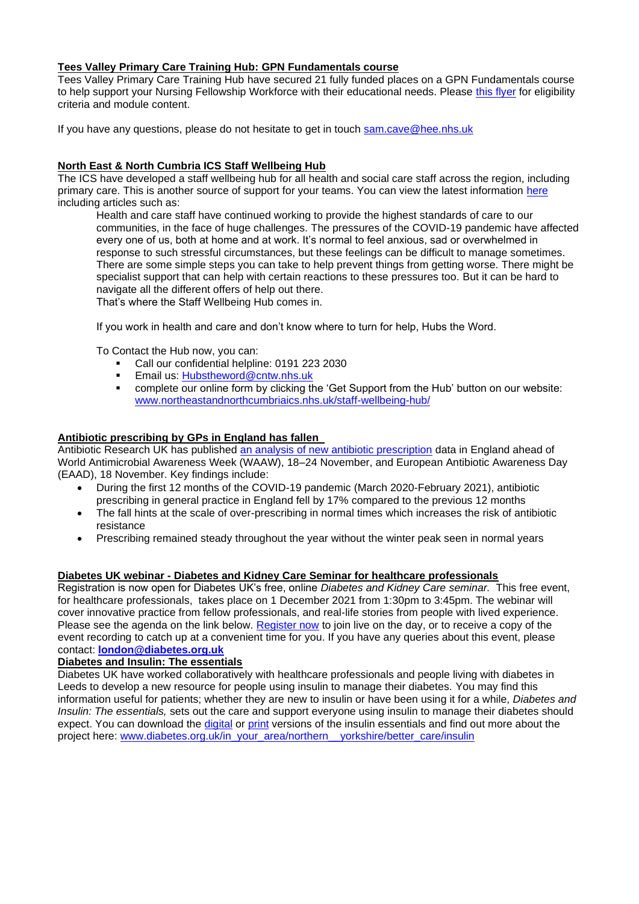# **Tees Valley Primary Care Training Hub: GPN Fundamentals course**

Tees Valley Primary Care Training Hub have secured 21 fully funded places on a GPN Fundamentals course to help support your Nursing Fellowship Workforce with their educational needs. Please this [flyer](https://www.clevelandlmc.org.uk/website/IGP367/files/GPN%20Fundamentals%20Course%20Flyer%20.pdf) for eligibility criteria and module content.

If you have any questions, please do not hesitate to get in touch [sam.cave@hee.nhs.uk](mailto:sam.cave@hee.nhs.uk)

## **North East & North Cumbria ICS Staff Wellbeing Hub**

The ICS have developed a staff wellbeing hub for all health and social care staff across the region, including primary care. This is another source of support for your teams. You can view the latest information [here](https://www.northeastandnorthcumbriaics.nhs.uk/staff-wellbeing-hub/hub-information-and-resources/) including articles such as:

Health and care staff have continued working to provide the highest standards of care to our communities, in the face of huge challenges. The pressures of the COVID-19 pandemic have affected every one of us, both at home and at work. It's normal to feel anxious, sad or overwhelmed in response to such stressful circumstances, but these feelings can be difficult to manage sometimes. There are some simple steps you can take to help prevent things from getting worse. There might be specialist support that can help with certain reactions to these pressures too. But it can be hard to navigate all the different offers of help out there.

That's where the Staff Wellbeing Hub comes in.

If you work in health and care and don't know where to turn for help, Hubs the Word.

To Contact the Hub now, you can:

- Call our confidential helpline: 0191 223 2030
- Email us: [Hubstheword@cntw.nhs.uk](mailto:Hubstheword@cntw.nhs.uk)
- complete our online form by clicking the 'Get Support from the Hub' button on our website: [www.northeastandnorthcumbriaics.nhs.uk/staff-wellbeing-hub/](http://www.northeastandnorthcumbriaics.nhs.uk/staff-wellbeing-hub/)

#### **Antibiotic prescribing by GPs in England has fallen**

Antibiotic Research UK has published [an analysis of new antibiotic prescription](https://www.antibioticresearch.org.uk/antibiotic-prescribing-by-gps-in-england-fell-by-17-during-the-first-12-months-of-covid-without-the-usual-winter-increase/) data in England ahead of World Antimicrobial Awareness Week (WAAW), 18–24 November, and European Antibiotic Awareness Day (EAAD), 18 November. Key findings include:

- During the first 12 months of the COVID-19 pandemic (March 2020-February 2021), antibiotic prescribing in general practice in England fell by 17% compared to the previous 12 months
- The fall hints at the scale of over-prescribing in normal times which increases the risk of antibiotic resistance
- Prescribing remained steady throughout the year without the winter peak seen in normal years

#### **Diabetes UK webinar - Diabetes and Kidney Care Seminar for healthcare professionals**

Registration is now open for Diabetes UK's free, online *Diabetes and Kidney Care seminar.* This free event, for healthcare professionals, takes place on 1 December 2021 from 1:30pm to 3:45pm. The webinar will cover innovative practice from fellow professionals, and real-life stories from people with lived experience. Please see the agenda on the link below. [Register now](https://eur03.safelinks.protection.outlook.com/?url=https%3A%2F%2Fwww.diabetes.org.uk%2Fprofessionals%2Fconferences%2Fall-events%2Fdiabetes-kidney-hcp&data=04%7C01%7CRob.Miller%40stockton.gov.uk%7Cfefa615d8d824fd3002208d9a42e5d19%7Cc947251d81c44c9b995df3d3b7a048c7%7C0%7C0%7C637721341773826604%7CUnknown%7CTWFpbGZsb3d8eyJWIjoiMC4wLjAwMDAiLCJQIjoiV2luMzIiLCJBTiI6Ik1haWwiLCJXVCI6Mn0%3D%7C3000&sdata=ljXyBJEHbaFchsSvoZFyUxRSnbr1SvDCOTptwXy1pZ4%3D&reserved=0) to join live on the day, or to receive a copy of the event recording to catch up at a convenient time for you. If you have any queries about this event, please contact: **[london@diabetes.org.uk](mailto:london@diabetes.org.uk)**

#### **Diabetes and Insulin: The essentials**

Diabetes UK have worked collaboratively with healthcare professionals and people living with diabetes in Leeds to develop a new resource for people using insulin to manage their diabetes. You may find this information useful for patients; whether they are new to insulin or have been using it for a while, *Diabetes and Insulin: The essentials,* sets out the care and support everyone using insulin to manage their diabetes should expect. You can download the [digital](https://eur03.safelinks.protection.outlook.com/?url=http%3A%2F%2Fwww.diabetes.org.uk%2Finsulin-essentials-digital&data=04%7C01%7CRob.Miller%40stockton.gov.uk%7Cfefa615d8d824fd3002208d9a42e5d19%7Cc947251d81c44c9b995df3d3b7a048c7%7C0%7C0%7C637721341773846516%7CUnknown%7CTWFpbGZsb3d8eyJWIjoiMC4wLjAwMDAiLCJQIjoiV2luMzIiLCJBTiI6Ik1haWwiLCJXVCI6Mn0%3D%7C3000&sdata=NIcaZ0f7nSQ3Ob7%2B8M%2FTjG3Fq5UaeCm7UMeCSmY11SY%3D&reserved=0) or [print](https://eur03.safelinks.protection.outlook.com/?url=http%3A%2F%2Fwww.diabetes.org.uk%2Finsulin-essentials-print&data=04%7C01%7CRob.Miller%40stockton.gov.uk%7Cfefa615d8d824fd3002208d9a42e5d19%7Cc947251d81c44c9b995df3d3b7a048c7%7C0%7C0%7C637721341773896297%7CUnknown%7CTWFpbGZsb3d8eyJWIjoiMC4wLjAwMDAiLCJQIjoiV2luMzIiLCJBTiI6Ik1haWwiLCJXVCI6Mn0%3D%7C3000&sdata=CwgwdW6l4NMBAjtROadspG26fzKhctPynwRnBaEAbc4%3D&reserved=0) versions of the insulin essentials and find out more about the project here: [www.diabetes.org.uk/in\\_your\\_area/northern\\_\\_yorkshire/better\\_care/insulin](https://eur03.safelinks.protection.outlook.com/?url=http%3A%2F%2Fwww.diabetes.org.uk%2Fin_your_area%2Fnorthern__yorkshire%2Fbetter_care%2Finsulin&data=04%7C01%7CRob.Miller%40stockton.gov.uk%7Cfefa615d8d824fd3002208d9a42e5d19%7Cc947251d81c44c9b995df3d3b7a048c7%7C0%7C0%7C637721341773906255%7CUnknown%7CTWFpbGZsb3d8eyJWIjoiMC4wLjAwMDAiLCJQIjoiV2luMzIiLCJBTiI6Ik1haWwiLCJXVCI6Mn0%3D%7C3000&sdata=1wCXmDtDjyaP5J%2BOz8NeYArQOtRuP0e7dkmopcnyf3s%3D&reserved=0)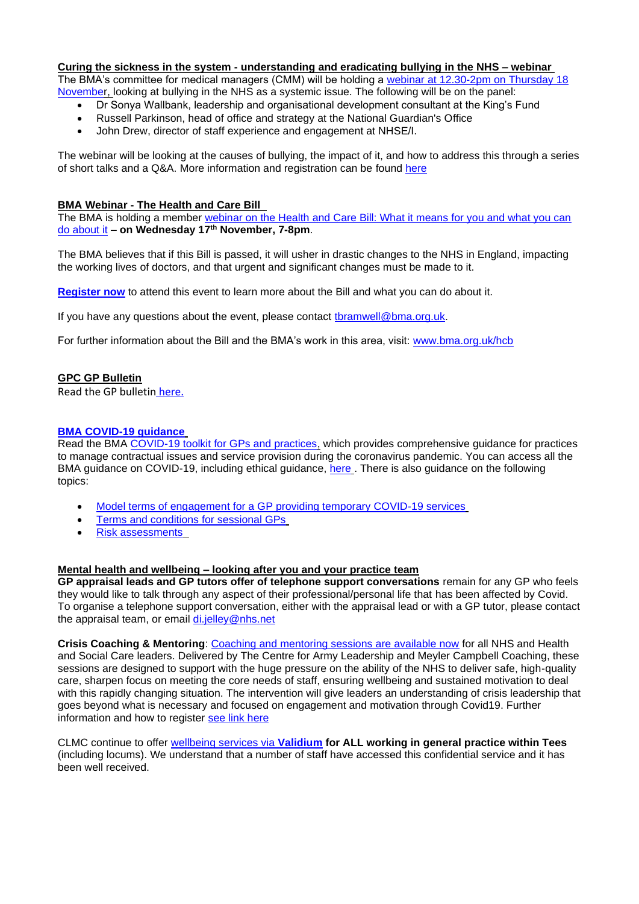# **Curing the sickness in the system - understanding and eradicating bullying in the NHS – webinar**

The BMA's committee for medical managers (CMM) will be holding a webinar at 12.30-2pm on Thursday 18 [November](https://www.bma.org.uk/events/curing-the-sickness-in-the-system-understanding-and-eradicating-bullying-in-the-nhs), looking at bullying in the NHS as a systemic issue. The following will be on the panel:

- Dr Sonya Wallbank, leadership and organisational development consultant at the King's Fund
- Russell Parkinson, head of office and strategy at the National Guardian's Office
- John Drew, director of staff experience and engagement at NHSE/I.

The webinar will be looking at the causes of bullying, the impact of it, and how to address this through a series of short talks and a Q&A. More information and registration can be found [here](https://www.bma.org.uk/events/curing-the-sickness-in-the-system-understanding-and-eradicating-bullying-in-the-nhs)

## **BMA Webinar - The Health and Care Bill**

The BMA is holding a member [webinar on the Health and Care Bill: What it means for you and what you can](https://events.bma.org.uk/the-health-and-care-bill/registration)  [do about it](https://events.bma.org.uk/the-health-and-care-bill/registration) – **on Wednesday 17th November, 7-8pm**.

The BMA believes that if this Bill is passed, it will usher in drastic changes to the NHS in England, impacting the working lives of doctors, and that urgent and significant changes must be made to it.

**[Register now](https://events.bma.org.uk/the-health-and-care-bill/registration)** to attend this event to learn more about the Bill and what you can do about it.

If you have any questions about the event, please contact [tbramwell@bma.org.uk.](mailto:tbramwell@bma.org.uk)

For further information about the Bill and the BMA's work in this area, visit: [www.bma.org.uk/hcb](http://www.bma.org.uk/hcb)

# **GPC GP Bulletin**

Read the GP bulletin [here.](https://bma-mail.org.uk/t/JVX-7M499-6D0D8630D9CB840E1PJA0P99B60EC971FDA0ED/cr.aspx)

# **[BMA COVID-19 guidance](https://www.bma.org.uk/advice-and-support/covid-19)**

Read the BMA [COVID-19 toolkit for GPs and practices,](https://www.bma.org.uk/advice-and-support/covid-19/practical-guidance/covid-19-toolkit-for-gps-and-gp-practices) which provides comprehensive guidance for practices to manage contractual issues and service provision during the coronavirus pandemic. You can access all the BMA guidance on COVID-19, including ethical guidance, [here](https://www.bma.org.uk/advice-and-support/covid-19) . There is also guidance on the following topics:

- [Model terms of engagement for a GP providing temporary COVID-19 services](https://www.bma.org.uk/advice-and-support/covid-19/your-contract/covid-19-model-terms-for-gps)
- [Terms and conditions for sessional GPs](https://www.bma.org.uk/advice-and-support/covid-19/your-contract/covid-19-your-terms-and-conditions/your-terms-and-conditions-sessional-gps)
- [Risk assessments](https://www.bma.org.uk/advice-and-support/covid-19/your-health/covid-19-risk-assessment)

#### **Mental health and wellbeing – looking after you and your practice team**

**GP appraisal leads and GP tutors offer of telephone support conversations** remain for any GP who feels they would like to talk through any aspect of their professional/personal life that has been affected by Covid. To organise a telephone support conversation, either with the appraisal lead or with a GP tutor, please contact the appraisal team, or email [di.jelley@nhs.net](mailto:di.jelley@nhs.net)

**Crisis Coaching & Mentoring**: [Coaching and mentoring sessions are available now](https://people.nhs.uk/support-for-leaders/coaching-and-mentoring-for-leaders/) for all NHS and Health and Social Care leaders. Delivered by The Centre for Army Leadership and Meyler Campbell Coaching, these sessions are designed to support with the huge pressure on the ability of the NHS to deliver safe, high-quality care, sharpen focus on meeting the core needs of staff, ensuring wellbeing and sustained motivation to deal with this rapidly changing situation. The intervention will give leaders an understanding of crisis leadership that goes beyond what is necessary and focused on engagement and motivation through Covid19. Further information and how to register [see link here](https://people.nhs.uk/support-for-leaders/coaching-and-mentoring-for-leaders/)

CLMC continue to offer [wellbeing services via](https://www.clevelandlmc.org.uk/page1.aspx?p=20&t=2) **Validium for ALL working in general practice within Tees** (including locums). We understand that a number of staff have accessed this confidential service and it has been well received.